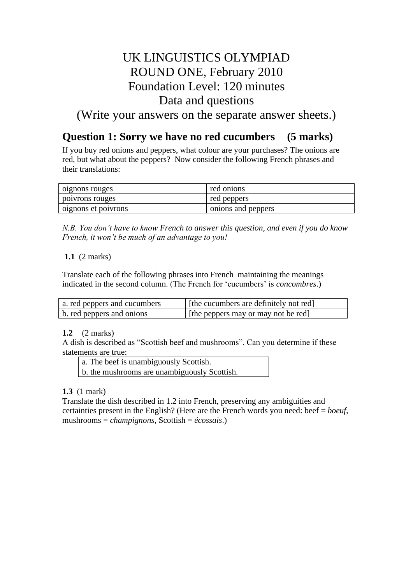## UK LINGUISTICS OLYMPIAD ROUND ONE, February 2010 Foundation Level: 120 minutes Data and questions

(Write your answers on the separate answer sheets.)

## **Question 1: Sorry we have no red cucumbers (5 marks)**

If you buy red onions and peppers, what colour are your purchases? The onions are red, but what about the peppers? Now consider the following French phrases and their translations:

| oignons rouges      | red onions         |
|---------------------|--------------------|
| poivrons rouges     | red peppers        |
| oignons et poivrons | onions and peppers |

*N.B. You don't have to know French to answer this question, and even if you do know French, it won't be much of an advantage to you!*

### **1.1** (2 marks)

Translate each of the following phrases into French maintaining the meanings indicated in the second column. (The French for 'cucumbers' is *concombres*.)

| a. red peppers and cucumbers | [the cucumbers are definitely not red] |
|------------------------------|----------------------------------------|
| b. red peppers and onions    | [the peppers may or may not be red]    |

### **1.2** (2 marks)

A dish is described as "Scottish beef and mushrooms". Can you determine if these statements are true:

| a. The beef is unambiguously Scottish.       |  |
|----------------------------------------------|--|
| b. the mushrooms are unambiguously Scottish. |  |

### **1.3** (1 mark)

Translate the dish described in 1.2 into French, preserving any ambiguities and certainties present in the English? (Here are the French words you need: beef = *boeuf*, mushrooms = *champignons*, Scottish = *écossais*.)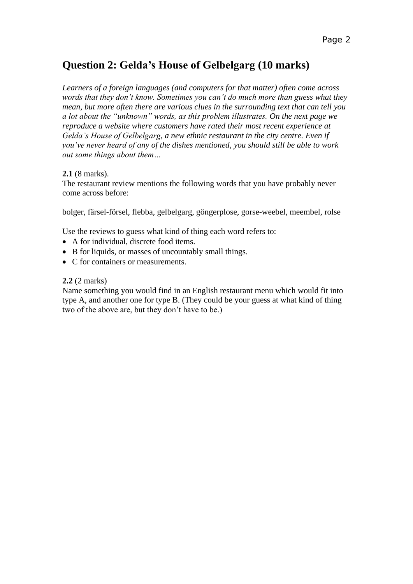## **Question 2: Gelda's House of Gelbelgarg (10 marks)**

*Learners of a foreign languages (and computers for that matter) often come across words that they don't know. Sometimes you can't do much more than guess what they mean, but more often there are various clues in the surrounding text that can tell you a lot about the "unknown" words, as this problem illustrates. On the next page we reproduce a website where customers have rated their most recent experience at Gelda's House of Gelbelgarg, a new ethnic restaurant in the city centre. Even if you've never heard of any of the dishes mentioned, you should still be able to work out some things about them…*

### **2.1** (8 marks).

The restaurant review mentions the following words that you have probably never come across before:

bolger, färsel-försel, flebba, gelbelgarg, göngerplose, gorse-weebel, meembel, rolse

Use the reviews to guess what kind of thing each word refers to:

- A for individual, discrete food items.
- B for liquids, or masses of uncountably small things.
- C for containers or measurements.

#### **2.2** (2 marks)

Name something you would find in an English restaurant menu which would fit into type A, and another one for type B. (They could be your guess at what kind of thing two of the above are, but they don't have to be.)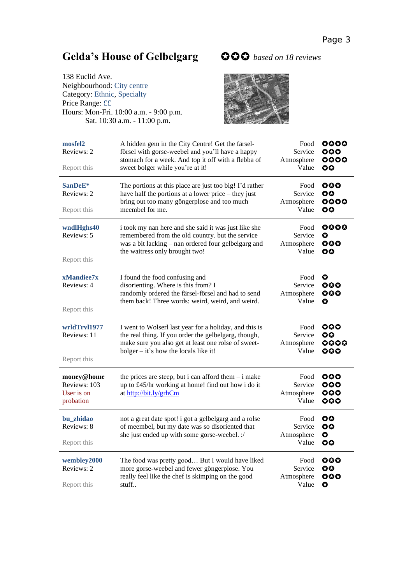# **Gelda's House of Gelbelgarg**  *based on 18 reviews*

| 138 Euclid Ave.                        |  |  |
|----------------------------------------|--|--|
| Neighbourhood: City centre             |  |  |
| Category: Ethnic, Specialty            |  |  |
| Price Range: ££                        |  |  |
| Hours: Mon-Fri. 10:00 a.m. - 9:00 p.m. |  |  |
| Sat. 10:30 a.m. - 11:00 p.m.           |  |  |





| mosfel2<br>Reviews: 2<br>Report this                                                                                                                                                                                                      | A hidden gem in the City Centre! Get the färsel-<br>försel with gorse-weebel and you'll have a happy<br>stomach for a week. And top it off with a flebba of<br>sweet bolger while you're at it!                                             | Food<br>Service<br>Atmosphere<br>Value | 0000<br>$\bf{000}$<br>0000<br><b>OO</b> |
|-------------------------------------------------------------------------------------------------------------------------------------------------------------------------------------------------------------------------------------------|---------------------------------------------------------------------------------------------------------------------------------------------------------------------------------------------------------------------------------------------|----------------------------------------|-----------------------------------------|
| SanDeE*<br>Reviews: 2<br>Report this                                                                                                                                                                                                      | The portions at this place are just too big! I'd rather<br>Food<br>have half the portions at a lower price – they just<br>Service<br>bring out too many göngerplose and too much<br>Atmosphere<br>meembel for me.<br>Value                  |                                        | ୦୦୦<br>OO<br>0000<br><b>OO</b>          |
| wndlHghs40<br>Reviews: 5<br>Report this                                                                                                                                                                                                   | i took my nan here and she said it was just like she<br>Food<br>remembered from the old country. but the service<br>Service<br>was a bit lacking – nan ordered four gelbelgarg and<br>Atmosphere<br>Value<br>the waitress only brought two! |                                        | 0000<br>O<br>000<br>60                  |
| xMandiee7x<br>Reviews: 4<br>Report this                                                                                                                                                                                                   | I found the food confusing and<br>disorienting. Where is this from? I<br>randomly ordered the färsel-försel and had to send<br>them back! Three words: weird, weird, and weird.                                                             | Food<br>Service<br>Atmosphere<br>Value | $\bullet$<br>୦୦୦<br>000<br>O            |
| wrldTrvl1977<br>Reviews: 11<br>Report this                                                                                                                                                                                                | I went to Wolserl last year for a holiday, and this is<br>the real thing. If you order the gelbelgarg, though,<br>make sure you also get at least one rolse of sweet-<br>bolger $-$ it's how the locals like it!                            | Food<br>Service<br>Atmosphere<br>Value | $\bullet$<br>00<br>0000<br>000          |
| money@home<br>the prices are steep, but i can afford them $-$ i make<br>Food<br>Reviews: 103<br>Service<br>up to £45/hr working at home! find out how i do it<br>User is on<br>at http://bit.ly/grhCm<br>Atmosphere<br>Value<br>probation |                                                                                                                                                                                                                                             | 000<br>000<br>000<br>000               |                                         |
| bu_zhidao<br>Reviews: 8<br>Report this                                                                                                                                                                                                    | not a great date spot! i got a gelbelgarg and a rolse<br>of meembel, but my date was so disoriented that<br>she just ended up with some gorse-weebel. :/                                                                                    | Food<br>Service<br>Atmosphere<br>Value | OO<br><b>OO</b><br>$\bullet$<br>OO      |
| wembley2000<br>Reviews: 2<br>Report this                                                                                                                                                                                                  | The food was pretty good But I would have liked<br>more gorse-weebel and fewer göngerplose. You<br>really feel like the chef is skimping on the good<br>stuff                                                                               | Food<br>Service<br>Atmosphere<br>Value | $\bullet$<br>OO<br>୦୦୦<br>$\bullet$     |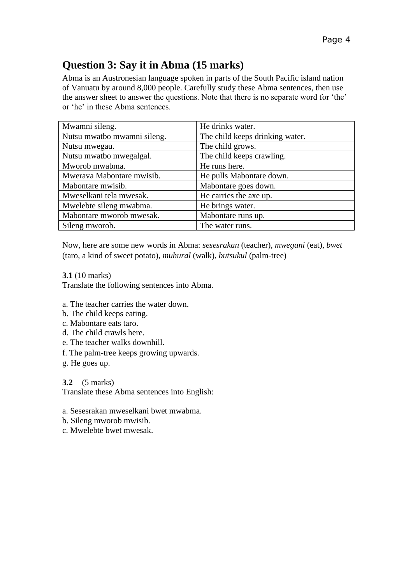## **Question 3: Say it in Abma (15 marks)**

Abma is an Austronesian language spoken in parts of the South Pacific island nation of Vanuatu by around 8,000 people. Carefully study these Abma sentences, then use the answer sheet to answer the questions. Note that there is no separate word for 'the' or 'he' in these Abma sentences.

| Mwamni sileng.              | He drinks water.                |
|-----------------------------|---------------------------------|
| Nutsu mwatbo mwamni sileng. | The child keeps drinking water. |
| Nutsu mwegau.               | The child grows.                |
| Nutsu mwatbo mwegalgal.     | The child keeps crawling.       |
| Mworob mwabma.              | He runs here.                   |
| Mwerava Mabontare mwisib.   | He pulls Mabontare down.        |
| Mabontare mwisib.           | Mabontare goes down.            |
| Mweselkani tela mwesak.     | He carries the axe up.          |
| Mwelebte sileng mwabma.     | He brings water.                |
| Mabontare mworob mwesak.    | Mabontare runs up.              |
| Sileng mworob.              | The water runs.                 |

Now, here are some new words in Abma: *sesesrakan* (teacher), *mwegani* (eat), *bwet* (taro, a kind of sweet potato), *muhural* (walk), *butsukul* (palm‐tree)

**3.1** (10 marks)

Translate the following sentences into Abma.

- a. The teacher carries the water down.
- b. The child keeps eating.
- c. Mabontare eats taro.
- d. The child crawls here.
- e. The teacher walks downhill.
- f. The palm‐tree keeps growing upwards.
- g. He goes up.

**3.2** (5 marks) Translate these Abma sentences into English:

a. Sesesrakan mweselkani bwet mwabma.

- b. Sileng mworob mwisib.
- c. Mwelebte bwet mwesak.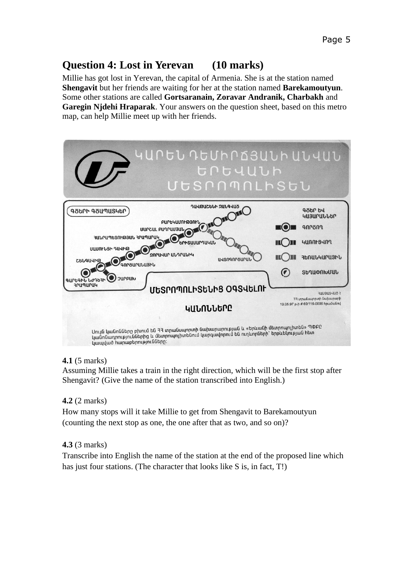### **Question 4: Lost in Yerevan (10 marks)**

Millie has got lost in Yerevan, the capital of Armenia. She is at the station named **Shengavit** but her friends are waiting for her at the station named **Barekamoutyun**. Some other stations are called **Gortsaranain, Zoravar Andranik, Charbakh** and **Garegin Njdehi Hraparak**. Your answers on the question sheet, based on this metro map, can help Millie meet up with her friends.



### **4.1** (5 marks)

Assuming Millie takes a train in the right direction, which will be the first stop after Shengavit? (Give the name of the station transcribed into English.)

### **4.2** (2 marks)

How many stops will it take Millie to get from Shengavit to Barekamoutyun (counting the next stop as one, the one after that as two, and so on)?

### **4.3** (3 marks)

Transcribe into English the name of the station at the end of the proposed line which has just four stations. (The character that looks like S is, in fact, T!)